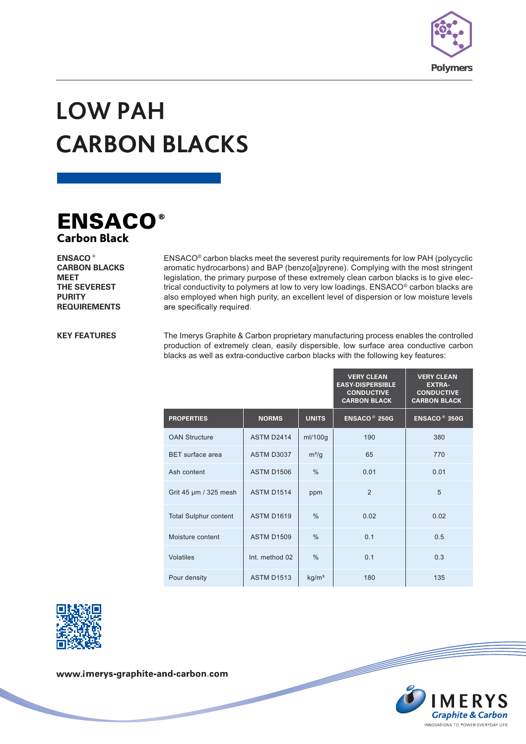

## **LOW PAH CARBON BLACKS BLACK**



**ENSACO ® CARBON BLACKS MEET THE SEVEREST PURITY REQUIREMENTS**

ENSACO® carbon blacks meet the severest purity requirements for low PAH (polycyclic aromatic hydrocarbons) and BAP (benzo[a]pyrene). Complying with the most stringent legislation, the primary purpose of these extremely clean carbon blacks is to give electrical conductivity to polymers at low to very low loadings. ENSACO® carbon blacks are also employed when high purity, an excellent level of dispersion or low moisture levels are specifically required.

**KEY FEATURES**

The Imerys Graphite & Carbon proprietary manufacturing process enables the controlled production of extremely clean, easily dispersible, low surface area conductive carbon blacks as well as extra-conductive carbon blacks with the following key features:

|                              |                   |                   | <b>VERY CLEAN</b><br><b>EASY-DISPERSIBLE</b><br><b>CONDUCTIVE</b><br><b>CARBON BLACK</b> | <b>VERY CLEAN</b><br><b>EXTRA-</b><br><b>CONDUCTIVE</b><br><b>CARBON BLACK</b> |
|------------------------------|-------------------|-------------------|------------------------------------------------------------------------------------------|--------------------------------------------------------------------------------|
| <b>PROPERTIES</b>            | <b>NORMS</b>      | <b>UNITS</b>      | <b>ENSACO<sup>®</sup> 250G</b>                                                           | <b>ENSACO<sup>®</sup> 350G</b>                                                 |
| <b>OAN Structure</b>         | <b>ASTM D2414</b> | ml/100g           | 190                                                                                      | 380                                                                            |
| <b>BET</b> surface area      | <b>ASTM D3037</b> | $m^2/g$           | 65                                                                                       | 770                                                                            |
| Ash content                  | <b>ASTM D1506</b> | $\frac{0}{0}$     | 0.01                                                                                     | 0.01                                                                           |
| Grit 45 µm / 325 mesh        | <b>ASTM D1514</b> | ppm               | 2                                                                                        | 5                                                                              |
| <b>Total Sulphur content</b> | <b>ASTM D1619</b> | $\frac{0}{0}$     | 0.02                                                                                     | 0.02                                                                           |
| Moisture content             | <b>ASTM D1509</b> | $\frac{0}{0}$     | 0.1                                                                                      | 0.5                                                                            |
| <b>Volatiles</b>             | Int. method 02    | $\frac{0}{0}$     | 0.1                                                                                      | 0.3                                                                            |
| Pour density                 | <b>ASTM D1513</b> | kg/m <sup>3</sup> | 180                                                                                      | 135                                                                            |



www.imerys-graphite-and-carbon.com